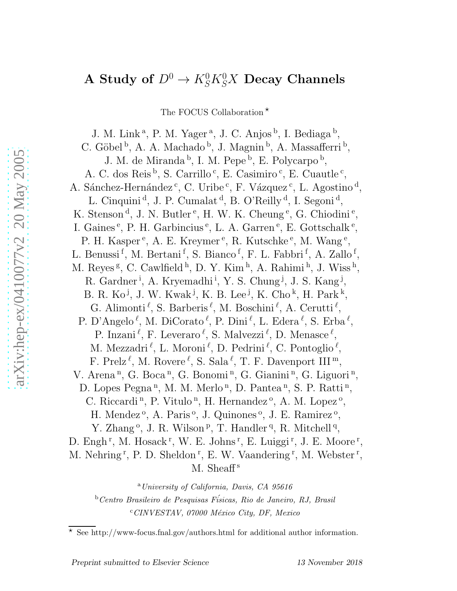# A Study of  $D^0 \to K_S^0 K_S^0 X$  Decay Channels

The FOCUS Collaboration  $^\star$ 

J. M. Link<sup>a</sup>, P. M. Yager<sup>a</sup>, J. C. Anjos<sup>b</sup>, I. Bediaga<sup>b</sup>, C. Göbel<sup>b</sup>, A. A. Machado<sup>b</sup>, J. Magnin<sup>b</sup>, A. Massafferri<sup>b</sup>, J. M. de Miranda<sup>b</sup>, I. M. Pepe<sup>b</sup>, E. Polycarpo<sup>b</sup>, A. C. dos Reis<sup>b</sup>, S. Carrillo<sup>c</sup>, E. Casimiro<sup>c</sup>, E. Cuautle<sup>c</sup>, A. Sánchez-Hernández<sup>c</sup>, C. Uribe<sup>c</sup>, F. Vázquez<sup>c</sup>, L. Agostino<sup>d</sup>, L. Cinquini<sup>d</sup>, J. P. Cumalat<sup>d</sup>, B. O'Reilly<sup>d</sup>, I. Segoni<sup>d</sup>, K. Stenson<sup>d</sup>, J. N. Butler<sup>e</sup>, H. W. K. Cheung<sup>e</sup>, G. Chiodini<sup>e</sup>, I. Gaines<sup>e</sup>, P. H. Garbincius<sup>e</sup>, L. A. Garren<sup>e</sup>, E. Gottschalk<sup>e</sup>, P. H. Kasper<sup>e</sup>, A. E. Kreymer<sup>e</sup>, R. Kutschke<sup>e</sup>, M. Wang<sup>e</sup>, L. Benussi<sup>f</sup>, M. Bertani<sup>f</sup>, S. Bianco<sup>f</sup>, F. L. Fabbri<sup>f</sup>, A. Zallo<sup>f</sup> , M. Reyes<sup>g</sup>, C. Cawlfield<sup>h</sup>, D. Y. Kim<sup>h</sup>, A. Rahimi<sup>h</sup>, J. Wiss<sup>h</sup>, R. Gardner<sup>i</sup>, A. Kryemadhi<sup>i</sup>, Y. S. Chung<sup>j</sup>, J. S. Kang<sup>j</sup>, B. R. Ko<sup>j</sup>, J. W. Kwak<sup>j</sup>, K. B. Lee<sup>j</sup>, K. Cho<sup>k</sup>, H. Park<sup>k</sup>, G. Alimonti<sup> $\ell$ </sup>, S. Barberis<sup> $\ell$ </sup>, M. Boschini<sup> $\ell$ </sup>, A. Cerutti<sup> $\ell$ </sup>, P. D'Angelo<sup> $\ell$ </sup>, M. DiCorato<sup> $\ell$ </sup>, P. Dini<sup> $\ell$ </sup>, L. Edera $\ell$ , S. Erba $\ell$ , P. Inzani<sup> $\ell$ </sup>, F. Leveraro<sup> $\ell$ </sup>, S. Malvezzi<sup> $\ell$ </sup>, D. Menasce<sup> $\ell$ </sup>, M. Mezzadri<sup> $\ell$ </sup>, L. Moroni<sup> $\ell$ </sup>, D. Pedrini<sup> $\ell$ </sup>, C. Pontoglio<sup> $\ell$ </sup>, F. Prelz<sup> $\ell$ </sup>, M. Rovere<sup> $\ell$ </sup>, S. Sala $\ell$ , T. F. Davenport III<sup>m</sup>, V. Arena<sup>n</sup>, G. Boca<sup>n</sup>, G. Bonomi<sup>n</sup>, G. Gianini<sup>n</sup>, G. Liguori<sup>n</sup>, D. Lopes Pegna<sup>n</sup>, M. M. Merlo<sup>n</sup>, D. Pantea<sup>n</sup>, S. P. Ratti<sup>n</sup>, C. Riccardi<sup>n</sup>, P. Vitulo<sup>n</sup>, H. Hernandez<sup>o</sup>, A. M. Lopez<sup>o</sup>, H. Mendez<sup>o</sup>, A. Paris<sup>o</sup>, J. Quinones<sup>o</sup>, J. E. Ramirez<sup>o</sup>, Y. Zhang<sup>o</sup>, J. R. Wilson<sup>p</sup>, T. Handler<sup>q</sup>, R. Mitchell<sup>q</sup>, D. Engh<sup>r</sup>, M. Hosack<sup>r</sup>, W. E. Johns<sup>r</sup>, E. Luiggi<sup>r</sup>, J. E. Moore<sup>r</sup>, M. Nehring<sup>r</sup>, P. D. Sheldon<sup>r</sup>, E. W. Vaandering<sup>r</sup>, M. Webster<sup>r</sup>, M. Sheaff<sup>s</sup>

<sup>a</sup> University of California, Davis, CA 95616  $b$ Centro Brasileiro de Pesquisas Físicas, Rio de Janeiro, RJ, Brasil  $c$ CINVESTAV, 07000 México City, DF, Mexico

See http://www-focus.fnal.gov/authors.html for additional author information.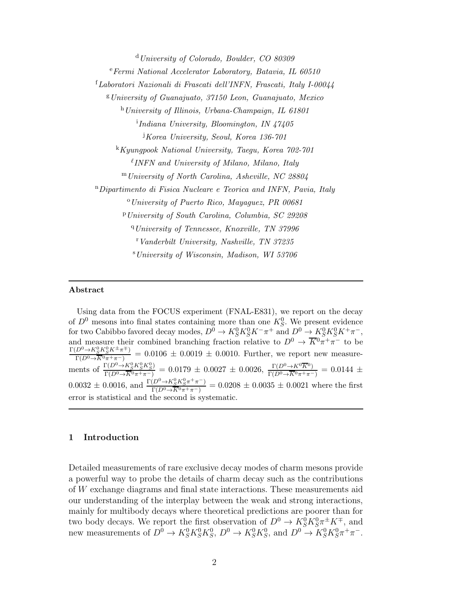$d$ University of Colorado, Boulder, CO 80309  $e$ Fermi National Accelerator Laboratory, Batavia, IL 60510 <sup>f</sup>Laboratori Nazionali di Frascati dell'INFN, Frascati, Italy I-00044  $g$ University of Guanajuato, 37150 Leon, Guanajuato, Mexico  $h$  University of Illinois, Urbana-Champaign, IL 61801 i Indiana University, Bloomington, IN 47405 <sup>j</sup>Korea University, Seoul, Korea 136-701  $K_{Kyunqpook}$  National University, Taegu, Korea  $702-701$  $^{\ell}$ INFN and University of Milano, Milano, Italy <sup>m</sup>University of North Carolina, Asheville, NC 28804 <sup>n</sup>Dipartimento di Fisica Nucleare e Teorica and INFN, Pavia, Italy  $\degree$ University of Puerto Rico, Mayaguez, PR 00681 <sup>p</sup>University of South Carolina, Columbia, SC 29208 <sup>q</sup>University of Tennessee, Knoxville, TN 37996 <sup>r</sup>Vanderbilt University, Nashville, TN 37235 <sup>s</sup>University of Wisconsin, Madison, WI 53706

#### Abstract

Using data from the FOCUS experiment (FNAL-E831), we report on the decay of  $D^0$  mesons into final states containing more than one  $K_S^0$ . We present evidence for two Cabibbo favored decay modes,  $D^0 \to K_S^0 K_S^0 K^- \pi^+$  and  $D^0 \to K_S^0 K_S^0 K^+ \pi^-$ , and measure their combined branching fraction relative to  $D^0 \to \overline{K}{}^0 \pi^+ \pi^-$  to be  $\Gamma(D^0 \rightarrow K_S^0 K_S^0 K^{\pm} \pi^{\mp})$  $\frac{D^2 - N_S N_S N^2}{\Gamma(D^0 \to \overline{K^0} \pi^+ \pi^-)} = 0.0106 \pm 0.0019 \pm 0.0010.$  Further, we report new measurements of  $\frac{\Gamma(D^0 \to K_S^0 K_S^0 K_S^0)}{\Gamma(D^0 \to K^0 \pi^+ \pi^-)}$  $\frac{\Gamma(D^0\to\!K_S^0\!,K_S^0\!,K_S^0)}{\Gamma(D^0\to\!\overline{K}{}^0\pi^+\pi^-)}=0.0179\,\pm\,0.0027\,\pm\,0.0026,\; \frac{\Gamma(D^0\to\!K^0\overline{K}{}^0)}{\Gamma(D^0\to\!\overline{K}{}^0\pi^+\pi^-)}$  $\frac{\Gamma(D^{\circ} \to K^{\circ} K^{\circ})}{\Gamma(D^0 \to K^0 \pi^+ \pi^-)} = 0.0144 \pm$  $0.0032 \pm 0.0016$ , and  $\frac{\Gamma(D^0 \to K_S^0 K_S^0 \pi^+ \pi^-)}{\Gamma(D^0 \to \overline{K_S^0} \pi^+ \pi^-)}$  $\frac{D^2 - N_S N_S N^2}{\Gamma(D^0 \to K^0 \pi^+ \pi^-)} = 0.0208 \pm 0.0035 \pm 0.0021$  where the first error is statistical and the second is systematic.

#### 1 Introduction

Detailed measurements of rare exclusive decay modes of charm mesons provide a powerful way to probe the details of charm decay such as the contributions of W exchange diagrams and final state interactions. These measurements aid our understanding of the interplay between the weak and strong interactions, mainly for multibody decays where theoretical predictions are poorer than for two body decays. We report the first observation of  $D^0 \to K_S^0 K_S^0 \pi^{\pm} K^{\mp}$ , and new measurements of  $D^0 \to K_S^0 K_S^0 K_S^0$ ,  $D^0 \to K_S^0 K_S^0$ , and  $D^0 \to K_S^0 K_S^0 \pi^+ \pi^-$ .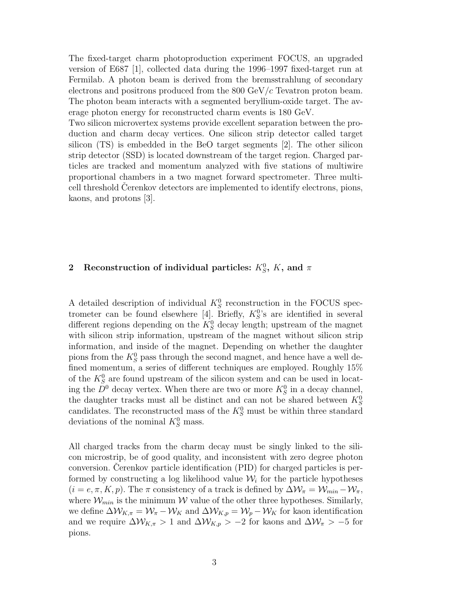The fixed-target charm photoproduction experiment FOCUS, an upgraded version of E687 [1], collected data during the 1996–1997 fixed-target run at Fermilab. A photon beam is derived from the bremsstrahlung of secondary electrons and positrons produced from the  $800 \text{ GeV}/c$  Tevatron proton beam. The photon beam interacts with a segmented beryllium-oxide target. The average photon energy for reconstructed charm events is 180 GeV.

Two silicon microvertex systems provide excellent separation between the production and charm decay vertices. One silicon strip detector called target silicon (TS) is embedded in the BeO target segments [2]. The other silicon strip detector (SSD) is located downstream of the target region. Charged particles are tracked and momentum analyzed with five stations of multiwire proportional chambers in a two magnet forward spectrometer. Three multicell threshold Cerenkov detectors are implemented to identify electrons, pions, kaons, and protons [3].

## 2 Reconstruction of individual particles:  $K^0_S, K$ , and  $\pi$

A detailed description of individual  $K_S^0$  reconstruction in the FOCUS spectrometer can be found elsewhere [4]. Briefly,  $K_S^0$ 's are identified in several different regions depending on the  $K_S^0$  decay length; upstream of the magnet with silicon strip information, upstream of the magnet without silicon strip information, and inside of the magnet. Depending on whether the daughter pions from the  $K_S^0$  pass through the second magnet, and hence have a well defined momentum, a series of different techniques are employed. Roughly 15% of the  $K_S^0$  are found upstream of the silicon system and can be used in locating the  $D^0$  decay vertex. When there are two or more  $K_S^0$  in a decay channel, the daughter tracks must all be distinct and can not be shared between  $K_S^0$ candidates. The reconstructed mass of the  $K_S^0$  must be within three standard deviations of the nominal  $K_S^0$  mass.

All charged tracks from the charm decay must be singly linked to the silicon microstrip, be of good quality, and inconsistent with zero degree photon conversion. Cerenkov particle identification (PID) for charged particles is performed by constructing a log likelihood value  $\mathcal{W}_i$  for the particle hypotheses  $(i = e, \pi, K, p)$ . The  $\pi$  consistency of a track is defined by  $\Delta W_{\pi} = W_{min} - W_{\pi}$ , where  $\mathcal{W}_{min}$  is the minimum W value of the other three hypotheses. Similarly, we define  $\Delta W_{K,\pi} = W_{\pi} - W_K$  and  $\Delta W_{K,p} = W_p - W_K$  for kaon identification and we require  $\Delta W_{K,\pi} > 1$  and  $\Delta W_{K,p} > -2$  for kaons and  $\Delta W_{\pi} > -5$  for pions.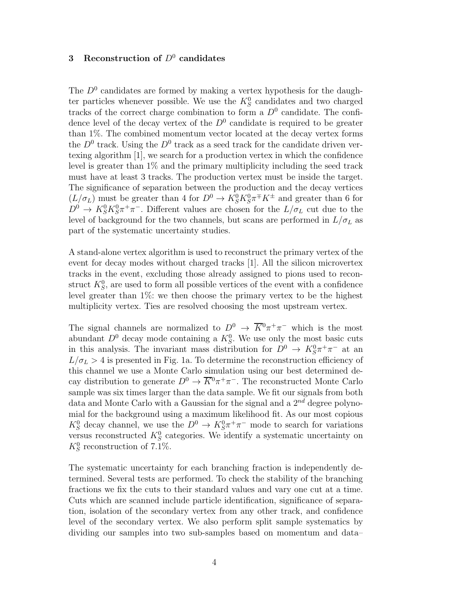### 3 Reconstruction of  $D^0$  candidates

The  $D^0$  candidates are formed by making a vertex hypothesis for the daughter particles whenever possible. We use the  $K_S^0$  candidates and two charged tracks of the correct charge combination to form a  $D^0$  candidate. The confidence level of the decay vertex of the  $D^0$  candidate is required to be greater than 1%. The combined momentum vector located at the decay vertex forms the  $D^0$  track. Using the  $D^0$  track as a seed track for the candidate driven vertexing algorithm [1], we search for a production vertex in which the confidence level is greater than 1% and the primary multiplicity including the seed track must have at least 3 tracks. The production vertex must be inside the target. The significance of separation between the production and the decay vertices  $(L/\sigma_L)$  must be greater than 4 for  $D^0 \to K_S^0 K_S^0 \pi^{\mp} K^{\pm}$  and greater than 6 for  $D^0 \to K_S^0 K_S^0 \pi^+ \pi^-$ . Different values are chosen for the  $L/\sigma_L$  cut due to the level of background for the two channels, but scans are performed in  $L/\sigma_L$  as part of the systematic uncertainty studies.

A stand-alone vertex algorithm is used to reconstruct the primary vertex of the event for decay modes without charged tracks [1]. All the silicon microvertex tracks in the event, excluding those already assigned to pions used to reconstruct  $K_S^0$ , are used to form all possible vertices of the event with a confidence level greater than 1%: we then choose the primary vertex to be the highest multiplicity vertex. Ties are resolved choosing the most upstream vertex.

The signal channels are normalized to  $D^0 \to \overline{K}^0 \pi^+ \pi^-$  which is the most abundant  $D^0$  decay mode containing a  $K_S^0$ . We use only the most basic cuts in this analysis. The invariant mass distribution for  $D^0 \to K_S^0 \pi^+ \pi^-$  at an  $L/\sigma_L > 4$  is presented in Fig. 1a. To determine the reconstruction efficiency of this channel we use a Monte Carlo simulation using our best determined decay distribution to generate  $D^0 \to \overline{K}{}^0 \pi^+ \pi^-$ . The reconstructed Monte Carlo sample was six times larger than the data sample. We fit our signals from both data and Monte Carlo with a Gaussian for the signal and a  $2^{nd}$  degree polynomial for the background using a maximum likelihood fit. As our most copious  $K_S^0$  decay channel, we use the  $D^0 \to K_S^0 \pi^+ \pi^-$  mode to search for variations versus reconstructed  $K_S^0$  categories. We identify a systematic uncertainty on  $K_S^0$  reconstruction of 7.1%.

The systematic uncertainty for each branching fraction is independently determined. Several tests are performed. To check the stability of the branching fractions we fix the cuts to their standard values and vary one cut at a time. Cuts which are scanned include particle identification, significance of separation, isolation of the secondary vertex from any other track, and confidence level of the secondary vertex. We also perform split sample systematics by dividing our samples into two sub-samples based on momentum and data–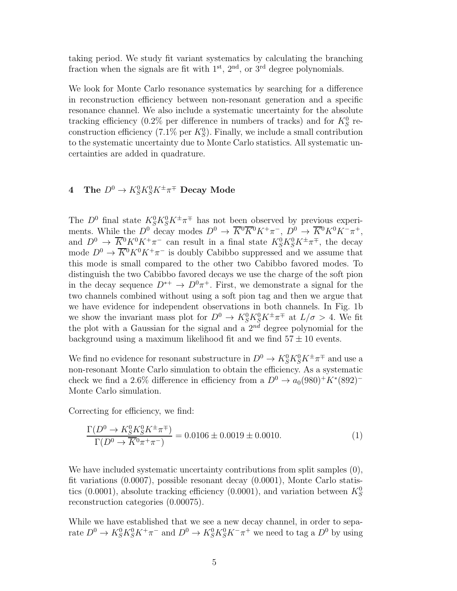taking period. We study fit variant systematics by calculating the branching fraction when the signals are fit with  $1<sup>st</sup>$ ,  $2<sup>nd</sup>$ , or  $3<sup>rd</sup>$  degree polynomials.

We look for Monte Carlo resonance systematics by searching for a difference in reconstruction efficiency between non-resonant generation and a specific resonance channel. We also include a systematic uncertainty for the absolute tracking efficiency (0.2% per difference in numbers of tracks) and for  $K_S^0$  reconstruction efficiency (7.1% per  $K_S^0$ ). Finally, we include a small contribution to the systematic uncertainty due to Monte Carlo statistics. All systematic uncertainties are added in quadrature.

## 4 The  $D^0 \to K_S^0 K_S^0 K^\pm \pi^\mp$  Decay Mode

The  $D^0$  final state  $K_S^0 K_S^0 K^{\pm} \pi^{\mp}$  has not been observed by previous experiments. While the  $D^0$  decay modes  $D^0 \to \overline{K}{}^0 \overline{K}{}^0 K^+ \pi^-$ ,  $D^0 \to \overline{K}{}^0 K^0 K^- \pi^+$ , and  $D^0 \to \overline{K}{}^0 K^0 K^+ \pi^-$  can result in a final state  $K^0_S K^0_S K^{\pm} \pi^{\mp}$ , the decay mode  $D^0 \to \overline{K}{}^0 K^0 K^+ \pi^-$  is doubly Cabibbo suppressed and we assume that this mode is small compared to the other two Cabibbo favored modes. To distinguish the two Cabibbo favored decays we use the charge of the soft pion in the decay sequence  $D^{*+} \to D^0 \pi^+$ . First, we demonstrate a signal for the two channels combined without using a soft pion tag and then we argue that we have evidence for independent observations in both channels. In Fig. 1b we show the invariant mass plot for  $D^0 \to K_S^0 K_S^0 K^{\pm} \pi^{\mp}$  at  $L/\sigma > 4$ . We fit the plot with a Gaussian for the signal and a  $2^{n\tilde{d}}$  degree polynomial for the background using a maximum likelihood fit and we find  $57 \pm 10$  events.

We find no evidence for resonant substructure in  $D^0 \to K_S^0 K_S^0 K^{\pm} \pi^{\mp}$  and use a non-resonant Monte Carlo simulation to obtain the efficiency. As a systematic check we find a 2.6% difference in efficiency from a  $D^0 \to a_0(980)^+ K^*(892)^-$ Monte Carlo simulation.

Correcting for efficiency, we find:

$$
\frac{\Gamma(D^0 \to K_S^0 K_S^0 K^{\pm} \pi^{\mp})}{\Gamma(D^0 \to \overline{K}^0 \pi^+ \pi^-)} = 0.0106 \pm 0.0019 \pm 0.0010. \tag{1}
$$

We have included systematic uncertainty contributions from split samples  $(0)$ , fit variations (0.0007), possible resonant decay (0.0001), Monte Carlo statistics (0.0001), absolute tracking efficiency (0.0001), and variation between  $K_S^0$ reconstruction categories (0.00075).

While we have established that we see a new decay channel, in order to separate  $D^0 \to K_S^0 K_S^0 K^+ \pi^-$  and  $D^0 \to K_S^0 K_S^0 K^- \pi^+$  we need to tag a  $D^0$  by using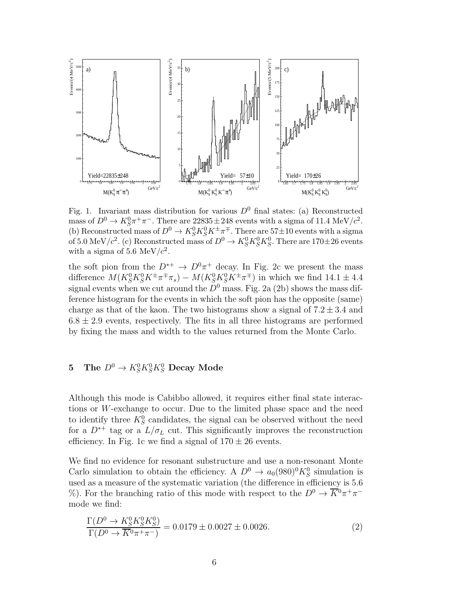

Fig. 1. Invariant mass distribution for various  $D^0$  final states: (a) Reconstructed mass of  $D^0 \to K_S^0 \pi^+ \pi^-$ . There are 22835 ± 248 events with a sigma of 11.4 MeV/ $c^2$ . (b) Reconstructed mass of  $D^0 \to K_S^0 K_S^0 K^{\pm} \pi^{\mp}$ . There are 57±10 events with a sigma of 5.0 MeV/ $c^2$ . (c) Reconstructed mass of  $D^0 \to K_S^0 K_S^0 K_S^0$ . There are 170±26 events with a sigma of 5.6 MeV/ $c^2$ .

the soft pion from the  $D^{*+} \to D^0 \pi^+$  decay. In Fig. 2c we present the mass difference  $M(K_S^0 K_S^0 K^{\pm} \pi^{\mp} \pi_s) - M(K_S^0 K_S^0 K^{\pm} \pi^{\mp})$  in which we find  $14.1 \pm 4.4$ signal events when we cut around the  $D^0$  mass. Fig. 2a (2b) shows the mass difference histogram for the events in which the soft pion has the opposite (same) charge as that of the kaon. The two histograms show a signal of  $7.2 \pm 3.4$  and  $6.8 \pm 2.9$  events, respectively. The fits in all three histograms are performed by fixing the mass and width to the values returned from the Monte Carlo.

## $5 \quad \text{The} \ \ D^0 \rightarrow K_S^0 K_S^0 K_S^0 \ \text{Decay\ Mode}$

Although this mode is Cabibbo allowed, it requires either final state interactions or W-exchange to occur. Due to the limited phase space and the need to identify three  $K_S^0$  candidates, the signal can be observed without the need for a  $D^{*+}$  tag or a  $L/\sigma_L$  cut. This significantly improves the reconstruction efficiency. In Fig. 1c we find a signal of  $170 \pm 26$  events.

We find no evidence for resonant substructure and use a non-resonant Monte Carlo simulation to obtain the efficiency. A  $D^0 \to a_0(980)^0 K_S^0$  simulation is used as a measure of the systematic variation (the difference in efficiency is 5.6 %). For the branching ratio of this mode with respect to the  $D^0 \to \overline{K}{}^0 \pi^+ \pi^$ mode we find:

$$
\frac{\Gamma(D^0 \to K_S^0 K_S^0 K_S^0)}{\Gamma(D^0 \to \overline{K}^0 \pi^+ \pi^-)} = 0.0179 \pm 0.0027 \pm 0.0026.
$$
\n(2)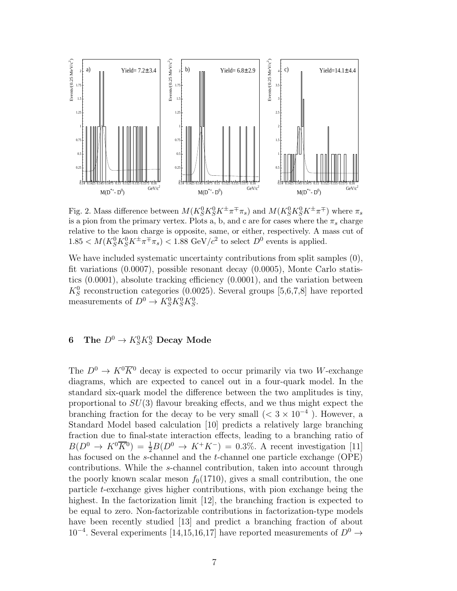

Fig. 2. Mass difference between  $M(K_S^0 K_S^4 K^{\pm} \pi^{\mp} \pi_s)$  and  $M(K_S^0 K_S^0 K^{\pm} \pi^{\mp})$  where  $\pi_s$ is a pion from the primary vertex. Plots a, b, and c are for cases where the  $\pi_s$  charge relative to the kaon charge is opposite, same, or either, respectively. A mass cut of  $1.85 < M(K_S^0 K_S^0 K^{\pm} \pi^{\mp} \pi_s) < 1.88 \text{ GeV}/c^2$  to select  $D^0$  events is applied.

We have included systematic uncertainty contributions from split samples  $(0)$ , fit variations (0.0007), possible resonant decay (0.0005), Monte Carlo statistics (0.0001), absolute tracking efficiency (0.0001), and the variation between  $K_S^0$  reconstruction categories (0.0025). Several groups [5,6,7,8] have reported measurements of  $D^0 \to K_S^0 K_S^0 K_S^0$ .

## 6 The  $D^0 \to K^0_S K^0_S$  Decay Mode

The  $D^0 \to K^0 \overline{K}{}^0$  decay is expected to occur primarily via two W-exchange diagrams, which are expected to cancel out in a four-quark model. In the standard six-quark model the difference between the two amplitudes is tiny, proportional to  $SU(3)$  flavour breaking effects, and we thus might expect the branching fraction for the decay to be very small  $(< 3 \times 10^{-4}$ ). However, a Standard Model based calculation [10] predicts a relatively large branching fraction due to final-state interaction effects, leading to a branching ratio of  $B(D^0 \rightarrow K^0 \overline{K}^0) = \frac{1}{2} B(D^0 \rightarrow K^+ K^-) = 0.3\%$ . A recent investigation [11] has focused on the s-channel and the t-channel one particle exchange (OPE) contributions. While the s-channel contribution, taken into account through the poorly known scalar meson  $f_0(1710)$ , gives a small contribution, the one particle t-exchange gives higher contributions, with pion exchange being the highest. In the factorization limit [12], the branching fraction is expected to be equal to zero. Non-factorizable contributions in factorization-type models have been recently studied [13] and predict a branching fraction of about  $10^{-4}$ . Several experiments [14,15,16,17] have reported measurements of  $D^0 \rightarrow$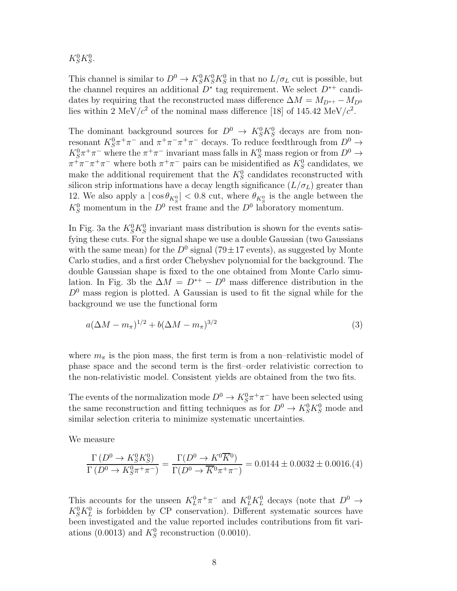## $K^0_SK^0_S$ .

This channel is similar to  $D^0 \to K_S^0 K_S^0 K_S^0$  in that no  $L/\sigma_L$  cut is possible, but the channel requires an additional  $D^*$  tag requirement. We select  $D^{*+}$  candidates by requiring that the reconstructed mass difference  $\Delta M = M_{D^{*+}} - M_{D^0}$ lies within 2 MeV/ $c^2$  of the nominal mass difference [18] of 145.42 MeV/ $c^2$ .

The dominant background sources for  $D^0 \to K_S^0 K_S^0$  decays are from nonresonant  $K_S^0 \pi^+ \pi^-$  and  $\pi^+ \pi^- \pi^+ \pi^-$  decays. To reduce feedthrough from  $D^0 \to$  $K_S^0 \pi^+ \pi^-$  where the  $\pi^+ \pi^-$  invariant mass falls in  $K_S^0$  mass region or from  $D^0 \to$  $\pi^+\pi^-\pi^+\pi^-$  where both  $\pi^+\pi^-$  pairs can be misidentified as  $K^0_S$  candidates, we make the additional requirement that the  $K_S^0$  candidates reconstructed with silicon strip informations have a decay length significance  $(L/\sigma_L)$  greater than 12. We also apply a  $|\cos \theta_{K_S^0}| < 0.8$  cut, where  $\theta_{K_S^0}$  is the angle between the  $K_S^0$  momentum in the  $D^0$  rest frame and the  $D^0$  laboratory momentum.

In Fig. 3a the  $K_S^0 K_S^0$  invariant mass distribution is shown for the events satisfying these cuts. For the signal shape we use a double Gaussian (two Gaussians with the same mean) for the  $D^0$  signal (79 $\pm$ 17 events), as suggested by Monte Carlo studies, and a first order Chebyshev polynomial for the background. The double Gaussian shape is fixed to the one obtained from Monte Carlo simulation. In Fig. 3b the  $\Delta M = D^{*+} - D^0$  mass difference distribution in the  $D<sup>0</sup>$  mass region is plotted. A Gaussian is used to fit the signal while for the background we use the functional form

$$
a(\Delta M - m_{\pi})^{1/2} + b(\Delta M - m_{\pi})^{3/2}
$$
\n(3)

where  $m_{\pi}$  is the pion mass, the first term is from a non-relativistic model of phase space and the second term is the first–order relativistic correction to the non-relativistic model. Consistent yields are obtained from the two fits.

The events of the normalization mode  $D^0 \to K_S^0 \pi^+ \pi^-$  have been selected using the same reconstruction and fitting techniques as for  $D^0 \to K_S^0 K_S^0$  mode and similar selection criteria to minimize systematic uncertainties.

We measure

$$
\frac{\Gamma(D^0 \to K_S^0 K_S^0)}{\Gamma(D^0 \to K_S^0 \pi^+ \pi^-)} = \frac{\Gamma(D^0 \to K^0 \overline{K}^0)}{\Gamma(D^0 \to \overline{K}^0 \pi^+ \pi^-)} = 0.0144 \pm 0.0032 \pm 0.0016.(4)
$$

This accounts for the unseen  $K^0_L \pi^+ \pi^-$  and  $K^0_L K^0_L$  decays (note that  $D^0 \to$  $K_S^0 K_L^0$  is forbidden by CP conservation). Different systematic sources have been investigated and the value reported includes contributions from fit variations (0.0013) and  $K_S^0$  reconstruction (0.0010).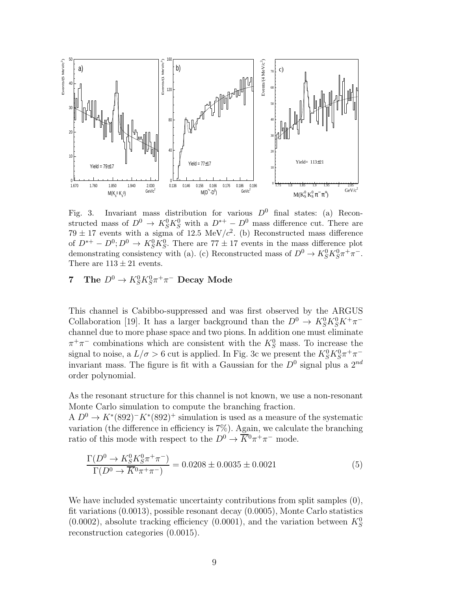

Fig. 3. Invariant mass distribution for various  $D^0$  final states: (a) Reconstructed mass of  $D^0 \to K_S^0 K_S^0$  with a  $D^{*+} - D^0$  mass difference cut. There are  $79 \pm 17$  events with a sigma of 12.5 MeV/ $c^2$ . (b) Reconstructed mass difference of  $D^{*+} - D^0$ ;  $D^0 \to K_S^0 K_S^0$ . There are 77 ± 17 events in the mass difference plot demonstrating consistency with (a). (c) Reconstructed mass of  $D^0 \to K_S^0 K_S^0 \pi^+ \pi^-$ . There are  $113 \pm 21$  events.

7 The  $D^0 \to K_S^0 K_S^0 \pi^+ \pi^-$  Decay Mode

This channel is Cabibbo-suppressed and was first observed by the ARGUS Collaboration [19]. It has a larger background than the  $D^0 \to K_S^0 K_S^0 K^+ \pi^$ channel due to more phase space and two pions. In addition one must eliminate  $\pi^+\pi^-$  combinations which are consistent with the  $K^0_S$  mass. To increase the signal to noise, a  $L/\sigma > 6$  cut is applied. In Fig. 3c we present the  $K_S^0 K_S^0 \pi^+ \pi^$ invariant mass. The figure is fit with a Gaussian for the  $D^0$  signal plus a  $2^{nd}$ order polynomial.

As the resonant structure for this channel is not known, we use a non-resonant Monte Carlo simulation to compute the branching fraction.

A  $D^0 \to K^*(892)^- K^*(892)^+$  simulation is used as a measure of the systematic variation (the difference in efficiency is 7%). Again, we calculate the branching ratio of this mode with respect to the  $D^0 \to \overline{K}{}^0 \pi^+ \pi^-$  mode.

$$
\frac{\Gamma(D^0 \to K_S^0 K_S^0 \pi^+ \pi^-)}{\Gamma(D^0 \to \overline{K}^0 \pi^+ \pi^-)} = 0.0208 \pm 0.0035 \pm 0.0021
$$
\n(5)

We have included systematic uncertainty contributions from split samples  $(0)$ , fit variations (0.0013), possible resonant decay (0.0005), Monte Carlo statistics  $(0.0002)$ , absolute tracking efficiency  $(0.0001)$ , and the variation between  $K^0<sub>S</sub>$ reconstruction categories (0.0015).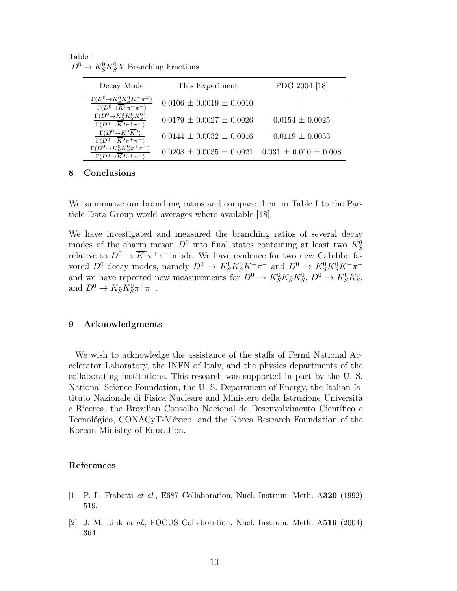| Decay Mode                                                                                                        | This Experiment                | PDG 2004 [18]               |
|-------------------------------------------------------------------------------------------------------------------|--------------------------------|-----------------------------|
| $\Gamma(D^0 \rightarrow K_S^0 K_S^0 K^{\pm} \pi^{\mp})$<br>$\Gamma(D^0 \rightarrow \overline{K}{}^0 \pi^+ \pi^-)$ | $0.0106 \pm 0.0019 \pm 0.0010$ |                             |
| $\frac{\Gamma(D^0 \rightarrow K_S^0 K_S^0 K_S^0)}{\Gamma(D^0 \rightarrow \overline{K}^0 \pi^+ \pi^-)}$            | $0.0179 \pm 0.0027 \pm 0.0026$ | $0.0154 \pm 0.0025$         |
| $\Gamma(D^0 \rightarrow K^0 \overline{K}^0)$<br>$\Gamma(D^0 \rightarrow \overline{K^0} \pi^+ \pi^-)$              | $0.0144 \pm 0.0032 \pm 0.0016$ | $0.0119 \pm 0.0033$         |
| $\Gamma(D^0 \rightarrow K_S^0 K_S^0 \pi^+ \pi^-)$                                                                 | $0.0208 \pm 0.0035 \pm 0.0021$ | $0.031 \pm 0.010 \pm 0.008$ |

Table 1  $D^0 \to K_S^0 K_S^0 X$  Branching Fractions

#### 8 Conclusions

We summarize our branching ratios and compare them in Table I to the Particle Data Group world averages where available [18].

We have investigated and measured the branching ratios of several decay modes of the charm meson  $D^0$  into final states containing at least two  $K^0_S$ relative to  $D^0 \to \overline{K}{}^0 \pi^+ \pi^-$  mode. We have evidence for two new Cabibbo favored  $D^0$  decay modes, namely  $D^0 \to K_S^0 K_S^0 K^+ \pi^-$  and  $D^0 \to K_S^0 K_S^0 K^- \pi^+$ and we have reported new measurements for  $D^0 \to K_S^0 K_S^0 K_S^0$ ,  $D^0 \to K_S^0 K_S^0$ , and  $D^0 \to K_S^0 K_S^0 \pi^+ \pi^-$ .

#### 9 Acknowledgments

We wish to acknowledge the assistance of the staffs of Fermi National Accelerator Laboratory, the INFN of Italy, and the physics departments of the collaborating institutions. This research was supported in part by the U. S. National Science Foundation, the U. S. Department of Energy, the Italian Istituto Nazionale di Fisica Nucleare and Ministero della Istruzione Universit`a e Ricerca, the Brazilian Conselho Nacional de Desenvolvimento Científico e Tecnológico, CONACyT-México, and the Korea Research Foundation of the Korean Ministry of Education.

#### References

- [1] P. L. Frabetti et al., E687 Collaboration, Nucl. Instrum. Meth. A320 (1992) 519.
- [2] J. M. Link et al., FOCUS Collaboration, Nucl. Instrum. Meth. A516 (2004) 364.